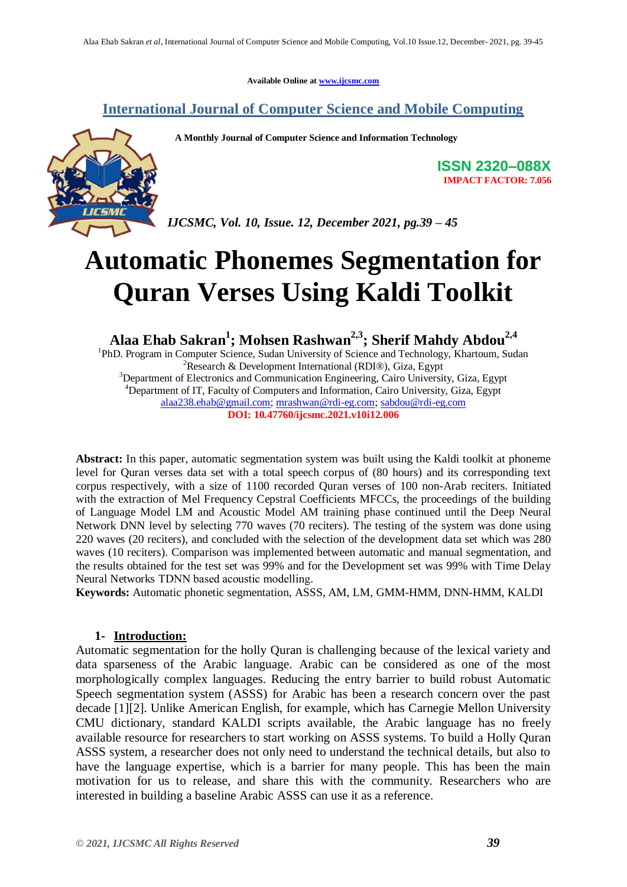**Available Online at www.ijcsmc.com**

# **International Journal of Computer Science and Mobile Computing**

 **A Monthly Journal of Computer Science and Information Technology**



**ISSN 2320–088X IMPACT FACTOR: 7.056**

*IJCSMC, Vol. 10, Issue. 12, December 2021, pg.39 – 45*

# **Automatic Phonemes Segmentation for Quran Verses Using Kaldi Toolkit**

**Alaa Ehab Sakran<sup>1</sup> ; Mohsen Rashwan2,3 ; Sherif Mahdy Abdou2,4**

<sup>1</sup>PhD. Program in Computer Science, Sudan University of Science and Technology, Khartoum, Sudan <sup>2</sup>Research & Development International (RDI®), Giza, Egypt <sup>3</sup>Department of Electronics and Communication Engineering, Cairo University, Giza, Egypt

<sup>4</sup>Department of IT, Faculty of Computers and Information, Cairo University, Giza, Egypt alaa238.ehab@gmail.com; mrashwan@rdi-eg.com; sabdou@rdi-eg.com

**DOI: 10.47760/ijcsmc.2021.v10i12.006**

**Abstract:** In this paper, automatic segmentation system was built using the Kaldi toolkit at phoneme level for Quran verses data set with a total speech corpus of (80 hours) and its corresponding text corpus respectively, with a size of 1100 recorded Quran verses of 100 non-Arab reciters. Initiated with the extraction of Mel Frequency Cepstral Coefficients MFCCs, the proceedings of the building of Language Model LM and Acoustic Model AM training phase continued until the Deep Neural Network DNN level by selecting 770 waves (70 reciters). The testing of the system was done using 220 waves (20 reciters), and concluded with the selection of the development data set which was 280 waves (10 reciters). Comparison was implemented between automatic and manual segmentation, and the results obtained for the test set was 99% and for the Development set was 99% with Time Delay Neural Networks TDNN based acoustic modelling.

**Keywords:** Automatic phonetic segmentation, ASSS, AM, LM, GMM-HMM, DNN-HMM, KALDI

#### **1- Introduction:**

Automatic segmentation for the holly Quran is challenging because of the lexical variety and data sparseness of the Arabic language. Arabic can be considered as one of the most morphologically complex languages. Reducing the entry barrier to build robust Automatic Speech segmentation system (ASSS) for Arabic has been a research concern over the past decade [1][2]. Unlike American English, for example, which has Carnegie Mellon University CMU dictionary, standard KALDI scripts available, the Arabic language has no freely available resource for researchers to start working on ASSS systems. To build a Holly Quran ASSS system, a researcher does not only need to understand the technical details, but also to have the language expertise, which is a barrier for many people. This has been the main motivation for us to release, and share this with the community. Researchers who are interested in building a baseline Arabic ASSS can use it as a reference.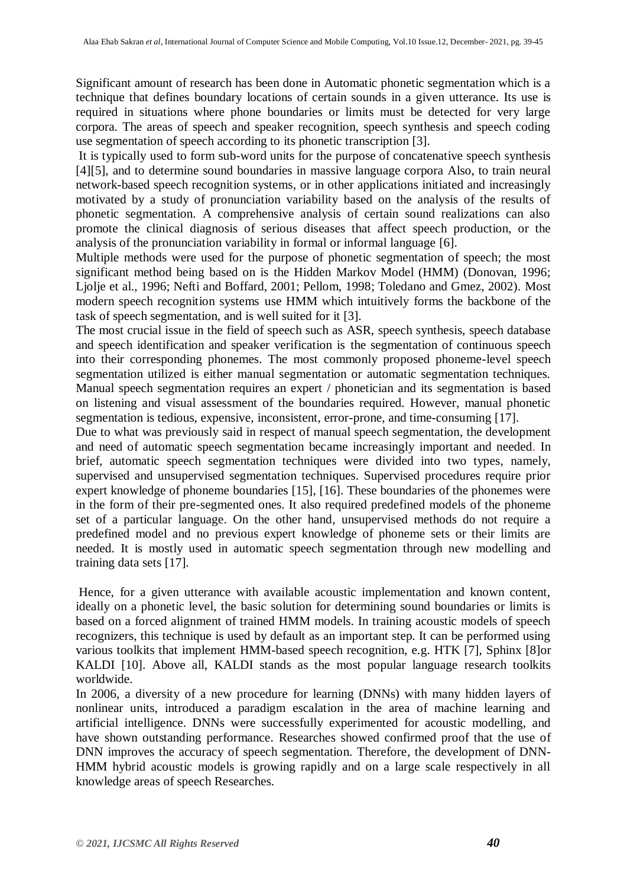Significant amount of research has been done in Automatic phonetic segmentation which is a technique that defines boundary locations of certain sounds in a given utterance. Its use is required in situations where phone boundaries or limits must be detected for very large corpora. The areas of speech and speaker recognition, speech synthesis and speech coding use segmentation of speech according to its phonetic transcription [3].

It is typically used to form sub-word units for the purpose of concatenative speech synthesis [4][5], and to determine sound boundaries in massive language corpora Also, to train neural network-based speech recognition systems, or in other applications initiated and increasingly motivated by a study of pronunciation variability based on the analysis of the results of phonetic segmentation. A comprehensive analysis of certain sound realizations can also promote the clinical diagnosis of serious diseases that affect speech production, or the analysis of the pronunciation variability in formal or informal language [6].

Multiple methods were used for the purpose of phonetic segmentation of speech; the most significant method being based on is the Hidden Markov Model (HMM) (Donovan, 1996; Ljolje et al., 1996; Nefti and Boffard, 2001; Pellom, 1998; Toledano and Gmez, 2002). Most modern speech recognition systems use HMM which intuitively forms the backbone of the task of speech segmentation, and is well suited for it [3].

The most crucial issue in the field of speech such as ASR, speech synthesis, speech database and speech identification and speaker verification is the segmentation of continuous speech into their corresponding phonemes. The most commonly proposed phoneme-level speech segmentation utilized is either manual segmentation or automatic segmentation techniques. Manual speech segmentation requires an expert / phonetician and its segmentation is based on listening and visual assessment of the boundaries required. However, manual phonetic segmentation is tedious, expensive, inconsistent, error-prone, and time-consuming [17].

Due to what was previously said in respect of manual speech segmentation, the development and need of automatic speech segmentation became increasingly important and needed. In brief, automatic speech segmentation techniques were divided into two types, namely, supervised and unsupervised segmentation techniques. Supervised procedures require prior expert knowledge of phoneme boundaries [15], [16]. These boundaries of the phonemes were in the form of their pre-segmented ones. It also required predefined models of the phoneme set of a particular language. On the other hand, unsupervised methods do not require a predefined model and no previous expert knowledge of phoneme sets or their limits are needed. It is mostly used in automatic speech segmentation through new modelling and training data sets [17].

Hence, for a given utterance with available acoustic implementation and known content, ideally on a phonetic level, the basic solution for determining sound boundaries or limits is based on a forced alignment of trained HMM models. In training acoustic models of speech recognizers, this technique is used by default as an important step. It can be performed using various toolkits that implement HMM-based speech recognition, e.g. HTK [7], Sphinx [8]or KALDI [10]. Above all, KALDI stands as the most popular language research toolkits worldwide.

In 2006, a diversity of a new procedure for learning (DNNs) with many hidden layers of nonlinear units, introduced a paradigm escalation in the area of machine learning and artificial intelligence. DNNs were successfully experimented for acoustic modelling, and have shown outstanding performance. Researches showed confirmed proof that the use of DNN improves the accuracy of speech segmentation. Therefore, the development of DNN-HMM hybrid acoustic models is growing rapidly and on a large scale respectively in all knowledge areas of speech Researches.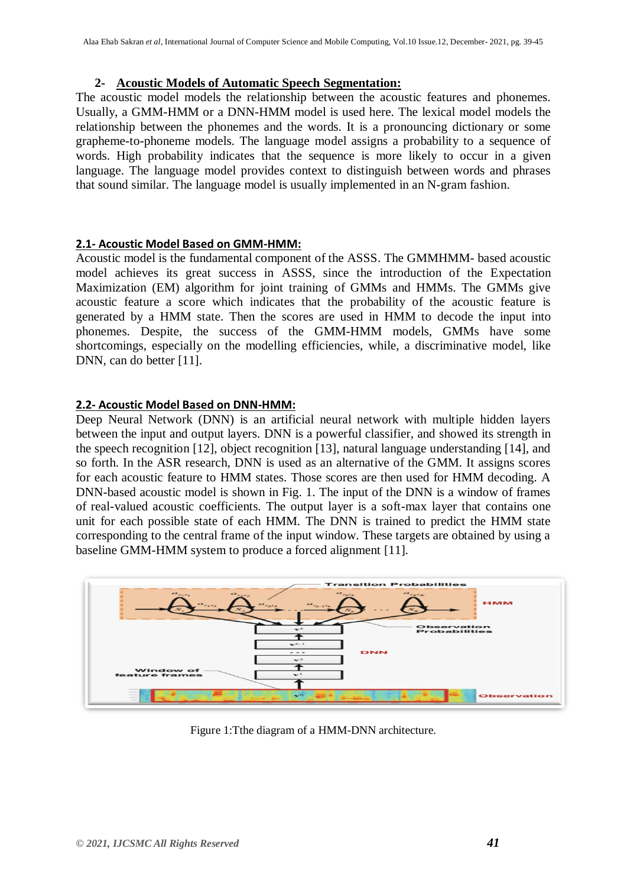# **2- Acoustic Models of Automatic Speech Segmentation:**

The acoustic model models the relationship between the acoustic features and phonemes. Usually, a GMM-HMM or a DNN-HMM model is used here. The lexical model models the relationship between the phonemes and the words. It is a pronouncing dictionary or some grapheme-to-phoneme models. The language model assigns a probability to a sequence of words. High probability indicates that the sequence is more likely to occur in a given language. The language model provides context to distinguish between words and phrases that sound similar. The language model is usually implemented in an N-gram fashion.

# **2.1- Acoustic Model Based on GMM-HMM:**

Acoustic model is the fundamental component of the ASSS. The GMMHMM- based acoustic model achieves its great success in ASSS, since the introduction of the Expectation Maximization (EM) algorithm for joint training of GMMs and HMMs. The GMMs give acoustic feature a score which indicates that the probability of the acoustic feature is generated by a HMM state. Then the scores are used in HMM to decode the input into phonemes. Despite, the success of the GMM-HMM models, GMMs have some shortcomings, especially on the modelling efficiencies, while, a discriminative model, like DNN, can do better [11].

# **2.2- Acoustic Model Based on DNN-HMM:**

Deep Neural Network (DNN) is an artificial neural network with multiple hidden layers between the input and output layers. DNN is a powerful classifier, and showed its strength in the speech recognition [12], object recognition [13], natural language understanding [14], and so forth. In the ASR research, DNN is used as an alternative of the GMM. It assigns scores for each acoustic feature to HMM states. Those scores are then used for HMM decoding. A DNN-based acoustic model is shown in Fig. 1. The input of the DNN is a window of frames of real-valued acoustic coefficients. The output layer is a soft-max layer that contains one unit for each possible state of each HMM. The DNN is trained to predict the HMM state corresponding to the central frame of the input window. These targets are obtained by using a baseline GMM-HMM system to produce a forced alignment [11].



Figure 1:Tthe diagram of a HMM-DNN architecture.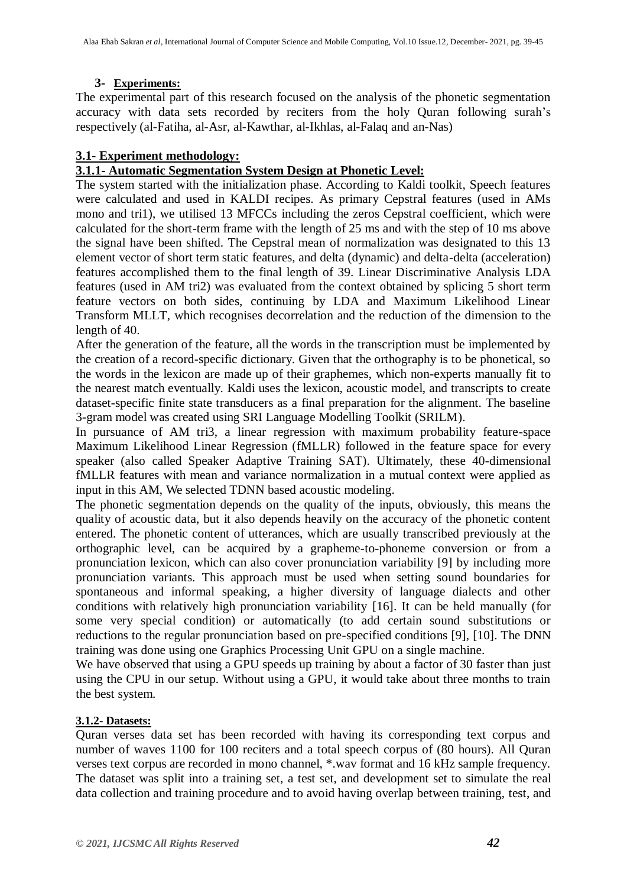# **3- Experiments:**

The experimental part of this research focused on the analysis of the phonetic segmentation accuracy with data sets recorded by reciters from the holy Quran following surah's respectively (al-Fatiha, al-Asr, al-Kawthar, al-Ikhlas, al-Falaq and an-Nas)

# **3.1- Experiment methodology:**

# **3.1.1- Automatic Segmentation System Design at Phonetic Level:**

The system started with the initialization phase. According to Kaldi toolkit, Speech features were calculated and used in KALDI recipes. As primary Cepstral features (used in AMs mono and tri1), we utilised 13 MFCCs including the zeros Cepstral coefficient, which were calculated for the short-term frame with the length of 25 ms and with the step of 10 ms above the signal have been shifted. The Cepstral mean of normalization was designated to this 13 element vector of short term static features, and delta (dynamic) and delta-delta (acceleration) features accomplished them to the final length of 39. Linear Discriminative Analysis LDA features (used in AM tri2) was evaluated from the context obtained by splicing 5 short term feature vectors on both sides, continuing by LDA and Maximum Likelihood Linear Transform MLLT, which recognises decorrelation and the reduction of the dimension to the length of 40.

After the generation of the feature, all the words in the transcription must be implemented by the creation of a record-specific dictionary. Given that the orthography is to be phonetical, so the words in the lexicon are made up of their graphemes, which non-experts manually fit to the nearest match eventually. Kaldi uses the lexicon, acoustic model, and transcripts to create dataset-specific finite state transducers as a final preparation for the alignment. The baseline 3-gram model was created using SRI Language Modelling Toolkit (SRILM).

In pursuance of AM tri3, a linear regression with maximum probability feature-space Maximum Likelihood Linear Regression (fMLLR) followed in the feature space for every speaker (also called Speaker Adaptive Training SAT). Ultimately, these 40-dimensional fMLLR features with mean and variance normalization in a mutual context were applied as input in this AM, We selected TDNN based acoustic modeling.

The phonetic segmentation depends on the quality of the inputs, obviously, this means the quality of acoustic data, but it also depends heavily on the accuracy of the phonetic content entered. The phonetic content of utterances, which are usually transcribed previously at the orthographic level, can be acquired by a grapheme-to-phoneme conversion or from a pronunciation lexicon, which can also cover pronunciation variability [9] by including more pronunciation variants. This approach must be used when setting sound boundaries for spontaneous and informal speaking, a higher diversity of language dialects and other conditions with relatively high pronunciation variability [16]. It can be held manually (for some very special condition) or automatically (to add certain sound substitutions or reductions to the regular pronunciation based on pre-specified conditions [9], [10]. The DNN training was done using one Graphics Processing Unit GPU on a single machine.

We have observed that using a GPU speeds up training by about a factor of 30 faster than just using the CPU in our setup. Without using a GPU, it would take about three months to train the best system.

#### **3.1.2- Datasets:**

Quran verses data set has been recorded with having its corresponding text corpus and number of waves 1100 for 100 reciters and a total speech corpus of (80 hours). All Quran verses text corpus are recorded in mono channel, \*.wav format and 16 kHz sample frequency. The dataset was split into a training set, a test set, and development set to simulate the real data collection and training procedure and to avoid having overlap between training, test, and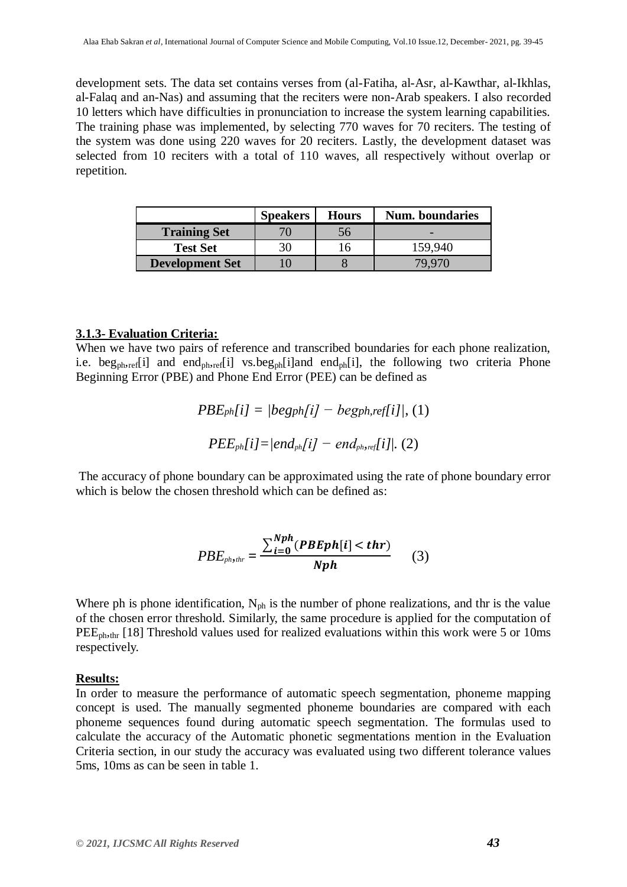development sets. The data set contains verses from (al-Fatiha, al-Asr, al-Kawthar, al-Ikhlas, al-Falaq and an-Nas) and assuming that the reciters were non-Arab speakers. I also recorded 10 letters which have difficulties in pronunciation to increase the system learning capabilities. The training phase was implemented, by selecting 770 waves for 70 reciters. The testing of the system was done using 220 waves for 20 reciters. Lastly, the development dataset was selected from 10 reciters with a total of 110 waves, all respectively without overlap or repetition.

|                        | <b>Speakers</b> | <b>Hours</b> | <b>Num.</b> boundaries |
|------------------------|-----------------|--------------|------------------------|
| <b>Training Set</b>    |                 | Эb           |                        |
| <b>Test Set</b>        |                 | . ი          | 159,940                |
| <b>Development Set</b> |                 |              | 79.970                 |

#### **3.1.3- Evaluation Criteria:**

When we have two pairs of reference and transcribed boundaries for each phone realization, i.e. beg<sub>ph,ref</sub>[i] and end<sub>ph,ref</sub>[i] vs.beg<sub>ph</sub>[i]and end<sub>ph</sub>[i], the following two criteria Phone Beginning Error (PBE) and Phone End Error (PEE) can be defined as

$$
PBE_{ph}[i] = |beg_{ph}[i] - beg_{ph,ref}[i]|, (1)
$$

$$
PEE_{ph}[i] = |end_{ph}[i] - end_{ph,ref}[i]|, (2)
$$

The accuracy of phone boundary can be approximated using the rate of phone boundary error which is below the chosen threshold which can be defined as:

$$
PBE_{phshr} = \frac{\sum_{i=0}^{Nph} (PBEph[i] < thr)}{Nph}
$$
 (3)

Where ph is phone identification,  $N_{ph}$  is the number of phone realizations, and thr is the value of the chosen error threshold. Similarly, the same procedure is applied for the computation of PEE<sub>ph,thr</sub> [18] Threshold values used for realized evaluations within this work were 5 or 10ms respectively.

#### **Results:**

In order to measure the performance of automatic speech segmentation, phoneme mapping concept is used. The manually segmented phoneme boundaries are compared with each phoneme sequences found during automatic speech segmentation. The formulas used to calculate the accuracy of the Automatic phonetic segmentations mention in the Evaluation Criteria section, in our study the accuracy was evaluated using two different tolerance values 5ms, 10ms as can be seen in table 1.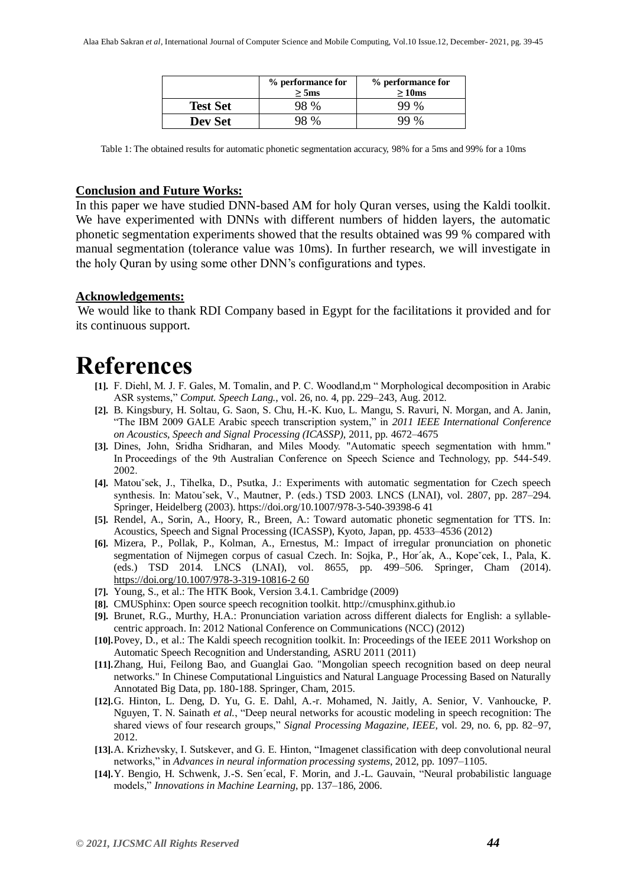|                 | % performance for<br>$>$ 5ms | % performance for<br>>10ms |
|-----------------|------------------------------|----------------------------|
| <b>Test Set</b> | 98 %                         | 99 %                       |
| Dev Set         | 98 %                         | 99 %                       |

Table 1: The obtained results for automatic phonetic segmentation accuracy, 98% for a 5ms and 99% for a 10ms

#### **Conclusion and Future Works:**

In this paper we have studied DNN-based AM for holy Quran verses, using the Kaldi toolkit. We have experimented with DNNs with different numbers of hidden layers, the automatic phonetic segmentation experiments showed that the results obtained was 99 % compared with manual segmentation (tolerance value was 10ms). In further research, we will investigate in the holy Quran by using some other DNN's configurations and types.

#### **Acknowledgements:**

We would like to thank RDI Company based in Egypt for the facilitations it provided and for its continuous support.

# **References**

- **[1].** F. Diehl, M. J. F. Gales, M. Tomalin, and P. C. Woodland,m " Morphological decomposition in Arabic ASR systems," *Comput. Speech Lang.*, vol. 26, no. 4, pp. 229–243, Aug. 2012.
- **[2].** B. Kingsbury, H. Soltau, G. Saon, S. Chu, H.-K. Kuo, L. Mangu, S. Ravuri, N. Morgan, and A. Janin, "The IBM 2009 GALE Arabic speech transcription system," in *2011 IEEE International Conference on Acoustics, Speech and Signal Processing (ICASSP)*, 2011, pp. 4672–4675
- **[3].** Dines, John, Sridha Sridharan, and Miles Moody. "Automatic speech segmentation with hmm." In Proceedings of the 9th Australian Conference on Speech Science and Technology, pp. 544-549. 2002.
- **[4].** Matouˇsek, J., Tihelka, D., Psutka, J.: Experiments with automatic segmentation for Czech speech synthesis. In: Matou`sek, V., Mautner, P. (eds.) TSD 2003. LNCS (LNAI), vol. 2807, pp. 287–294. Springer, Heidelberg (2003). https://doi.org/10.1007/978-3-540-39398-6 41
- **[5].** Rendel, A., Sorin, A., Hoory, R., Breen, A.: Toward automatic phonetic segmentation for TTS. In: Acoustics, Speech and Signal Processing (ICASSP), Kyoto, Japan, pp. 4533–4536 (2012)
- **[6].** Mizera, P., Pollak, P., Kolman, A., Ernestus, M.: Impact of irregular pronunciation on phonetic segmentation of Nijmegen corpus of casual Czech. In: Sojka, P., Hor´ak, A., Kope`cek, I., Pala, K. (eds.) TSD 2014. LNCS (LNAI), vol. 8655, pp. 499–506. Springer, Cham (2014). [https://doi.org/10.1007/978-3-319-10816-2 60](https://doi.org/10.1007/978-3-319-10816-2%2060)
- **[7].** Young, S., et al.: The HTK Book, Version 3.4.1. Cambridge (2009)
- **[8].** CMUSphinx: Open source speech recognition toolkit. http://cmusphinx.github.io
- **[9].** Brunet, R.G., Murthy, H.A.: Pronunciation variation across different dialects for English: a syllablecentric approach. In: 2012 National Conference on Communications (NCC) (2012)
- **[10].**Povey, D., et al.: The Kaldi speech recognition toolkit. In: Proceedings of the IEEE 2011 Workshop on Automatic Speech Recognition and Understanding, ASRU 2011 (2011)
- **[11].**Zhang, Hui, Feilong Bao, and Guanglai Gao. "Mongolian speech recognition based on deep neural networks." In Chinese Computational Linguistics and Natural Language Processing Based on Naturally Annotated Big Data, pp. 180-188. Springer, Cham, 2015.
- **[12].**G. Hinton, L. Deng, D. Yu, G. E. Dahl, A.-r. Mohamed, N. Jaitly, A. Senior, V. Vanhoucke, P. Nguyen, T. N. Sainath *et al.*, "Deep neural networks for acoustic modeling in speech recognition: The shared views of four research groups," *Signal Processing Magazine, IEEE*, vol. 29, no. 6, pp. 82–97, 2012.
- **[13].**A. Krizhevsky, I. Sutskever, and G. E. Hinton, "Imagenet classification with deep convolutional neural networks," in *Advances in neural information processing systems*, 2012, pp. 1097–1105.
- **[14].**Y. Bengio, H. Schwenk, J.-S. Sen´ecal, F. Morin, and J.-L. Gauvain, "Neural probabilistic language models," *Innovations in Machine Learning*, pp. 137–186, 2006.